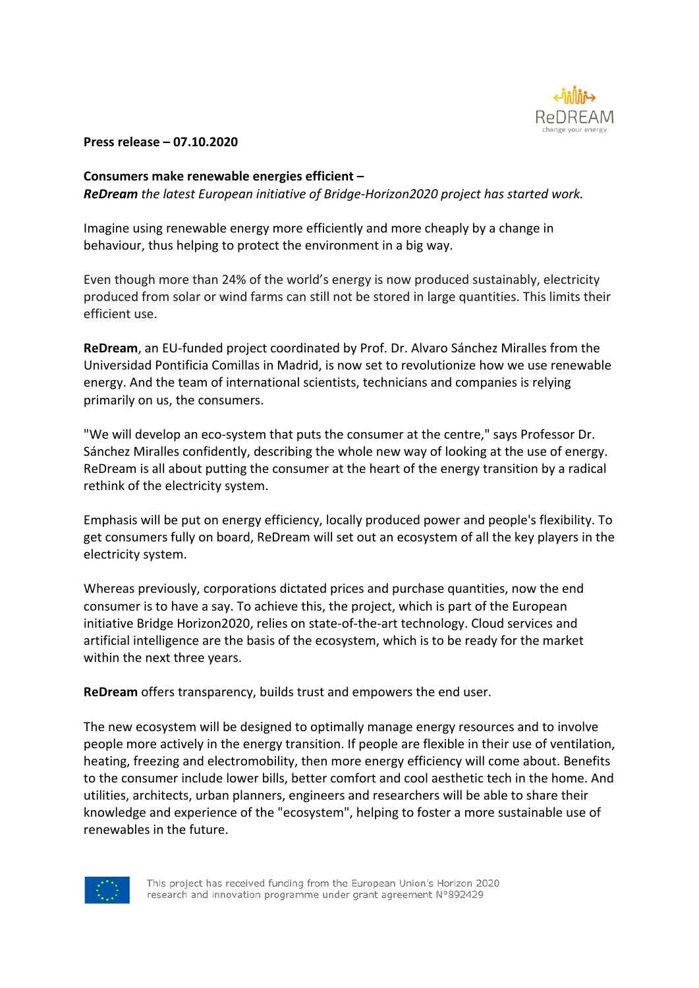

### **Press release – 07.10.2020**

## **Consumers make renewable energies efficient –**

*ReDream the latest European initiative of Bridge-Horizon2020 project has started work.*

Imagine using renewable energy more efficiently and more cheaply by a change in behaviour, thus helping to protect the environment in a big way.

Even though more than 24% of the world's energy is now produced sustainably, electricity produced from solar or wind farms can still not be stored in large quantities. This limits their efficient use.

**ReDream**, an EU-funded project coordinated by Prof. Dr. Alvaro Sánchez Miralles from the Universidad Pontificia Comillas in Madrid, is now set to revolutionize how we use renewable energy. And the team of international scientists, technicians and companies is relying primarily on us, the consumers.

"We will develop an eco-system that puts the consumer at the centre," says Professor Dr. Sánchez Miralles confidently, describing the whole new way of looking at the use of energy. ReDream is all about putting the consumer at the heart of the energy transition by a radical rethink of the electricity system.

Emphasis will be put on energy efficiency, locally produced power and people's flexibility. To get consumers fully on board, ReDream will set out an ecosystem of all the key players in the electricity system.

Whereas previously, corporations dictated prices and purchase quantities, now the end consumer is to have a say. To achieve this, the project, which is part of the European initiative Bridge Horizon2020, relies on state-of-the-art technology. Cloud services and artificial intelligence are the basis of the ecosystem, which is to be ready for the market within the next three years.

**ReDream** offers transparency, builds trust and empowers the end user.

The new ecosystem will be designed to optimally manage energy resources and to involve people more actively in the energy transition. If people are flexible in their use of ventilation, heating, freezing and electromobility, then more energy efficiency will come about. Benefits to the consumer include lower bills, better comfort and cool aesthetic tech in the home. And utilities, architects, urban planners, engineers and researchers will be able to share their knowledge and experience of the "ecosystem", helping to foster a more sustainable use of renewables in the future.



This project has received funding from the European Union's Horizon 2020 research and innovation programme under grant agreement N°892429